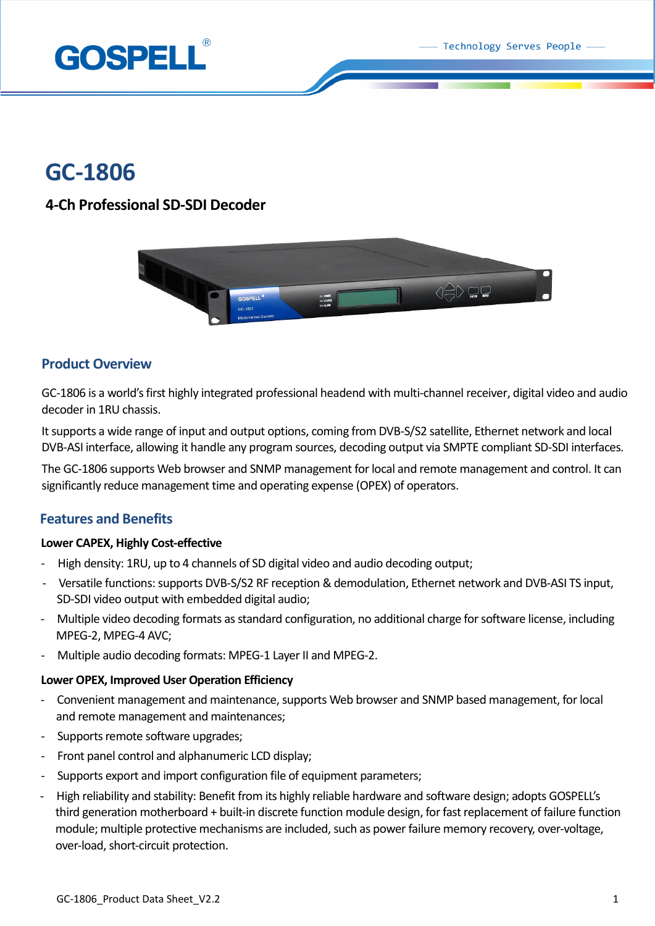Technology Serves People



# **GC-1806**

# **4-Ch Professional SD-SDI Decoder**



## **Product Overview**

GC-1806 is a world's first highly integrated professional headend with multi-channel receiver, digital video and audio decoder in 1RU chassis.

It supports a wide range of input and output options, coming from DVB-S/S2 satellite, Ethernet network and local DVB-ASI interface, allowing it handle any program sources, decoding output via SMPTE compliant SD-SDI interfaces.

The GC-1806 supports Web browser and SNMP management for local and remote management and control. It can significantly reduce management time and operating expense (OPEX) of operators.

# **Features and Benefits**

## **Lower CAPEX, Highly Cost-effective**

- High density: 1RU, up to 4 channels of SD digital video and audio decoding output;
- Versatile functions: supports DVB-S/S2 RF reception & demodulation, Ethernet network and DVB-ASI TS input, SD-SDI video output with embedded digital audio;
- Multiple video decoding formats as standard configuration, no additional charge for software license, including MPEG-2, MPEG-4 AVC;
- Multiple audio decoding formats: MPEG-1 Layer II and MPEG-2.

#### **Lower OPEX, Improved User Operation Efficiency**

- Convenient management and maintenance, supports Web browser and SNMP based management, for local and remote management and maintenances;
- Supports remote software upgrades;
- Front panel control and alphanumeric LCD display;
- Supports export and import configuration file of equipment parameters;
- High reliability and stability: Benefit from its highly reliable hardware and software design; adopts GOSPELL's third generation motherboard + built-in discrete function module design, for fast replacement of failure function module; multiple protective mechanisms are included, such as power failure memory recovery, over-voltage, over-load, short-circuit protection.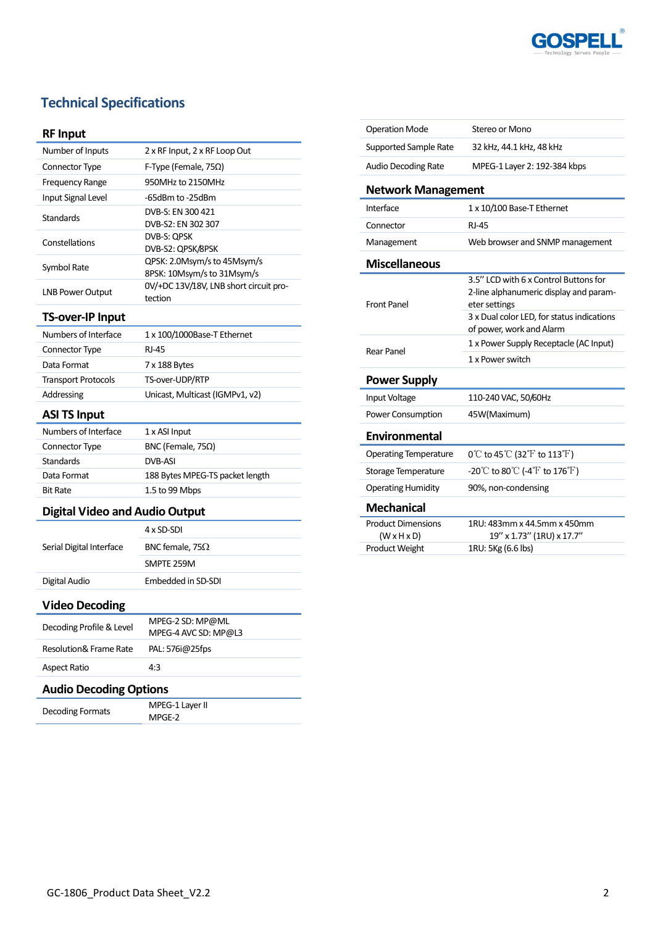

# **Technical Specifications**

## **RF Input**

| Number of Inputs        | 2 x RF Input, 2 x RF Loop Out                             |
|-------------------------|-----------------------------------------------------------|
| <b>Connector Type</b>   | F-Type (Female, 75 $\Omega$ )                             |
| <b>Frequency Range</b>  | 950MHz to 2150MHz                                         |
| Input Signal Level      | -65dBm to -25dBm                                          |
| <b>Standards</b>        | DVB-S: EN 300 421<br>DVB-S2: EN 302 307                   |
| Constellations          | DVB-S: QPSK<br>DVB-S2: QPSK/8PSK                          |
| Symbol Rate             | QPSK: 2.0Msym/s to 45Msym/s<br>8PSK: 10Msym/s to 31Msym/s |
| <b>LNB Power Output</b> | 0V/+DC 13V/18V, LNB short circuit pro-<br>tection         |

### **TS-over-IP Input**

| Numbers of Interface       | 1 x 100/1000Base-T Ethernet     |
|----------------------------|---------------------------------|
| Connector Type             | RI-45                           |
| Data Format                | 7 x 188 Bytes                   |
| <b>Transport Protocols</b> | TS-over-UDP/RTP                 |
| Addressing                 | Unicast, Multicast (IGMPv1, v2) |
|                            |                                 |

### **ASI TS Input**

| Numbers of Interface | 1 x ASI Input                   |
|----------------------|---------------------------------|
| Connector Type       | BNC (Female, $75\Omega$ )       |
| <b>Standards</b>     | DVB-ASI                         |
| Data Format          | 188 Bytes MPEG-TS packet length |
| <b>Bit Rate</b>      | 1.5 to 99 Mbps                  |

### **Digital Video and Audio Output**

| Serial Digital Interface | 4 x SD-SDI              |
|--------------------------|-------------------------|
|                          | BNC female, 75 $\Omega$ |
|                          | SMPTE 259M              |
| Digital Audio            | Embedded in SD-SDI      |

## **Video Decoding**

Î,

| Decoding Profile & Level | MPEG-2 SD: MP@ML<br>MPEG-4 AVC SD: MP@L3 |
|--------------------------|------------------------------------------|
| Resolution& Frame Rate   | PAL: 576i@25fps                          |
| <b>Aspect Ratio</b>      | 4:3                                      |
|                          |                                          |

# **Audio Decoding Options**

| Decoding Formats | MPEG-1 Layer II |
|------------------|-----------------|
|                  | MPGE-2          |

| <b>Operation Mode</b>                                | Stereo or Mono                                                                                   |
|------------------------------------------------------|--------------------------------------------------------------------------------------------------|
| Supported Sample Rate                                | 32 kHz, 44.1 kHz, 48 kHz                                                                         |
| <b>Audio Decoding Rate</b>                           | MPEG-1 Layer 2: 192-384 kbps                                                                     |
| <b>Network Management</b>                            |                                                                                                  |
| Interface                                            | 1 x 10/100 Base-T Ethernet                                                                       |
| Connector                                            | <b>RJ-45</b>                                                                                     |
| Management                                           | Web browser and SNMP management                                                                  |
| <b>Miscellaneous</b>                                 |                                                                                                  |
| <b>Front Panel</b>                                   | 3.5" LCD with 6 x Control Buttons for<br>2-line alphanumeric display and param-<br>eter settings |
|                                                      | 3 x Dual color LED, for status indications<br>of power, work and Alarm                           |
| Rear Panel                                           | 1 x Power Supply Receptacle (AC Input)                                                           |
|                                                      | 1 x Power switch                                                                                 |
| <b>Power Supply</b>                                  |                                                                                                  |
| Input Voltage                                        | 110-240 VAC, 50/60Hz                                                                             |
| Power Consumption                                    | 45W(Maximum)                                                                                     |
| <b>Environmental</b>                                 |                                                                                                  |
| <b>Operating Temperature</b>                         | $0^{\circ}$ C to 45 $^{\circ}$ C (32 $^{\circ}$ F to 113 $^{\circ}$ F)                           |
| Storage Temperature                                  | $-20^{\circ}$ C to 80 $^{\circ}$ C (-4 $^{\circ}$ F to 176 $^{\circ}$ F)                         |
| <b>Operating Humidity</b>                            | 90%, non-condensing                                                                              |
| <b>Mechanical</b>                                    |                                                                                                  |
| <b>Product Dimensions</b><br>$(W \times H \times D)$ | 1RU: 483mm x 44.5mm x 450mm<br>19" x 1.73" (1RU) x 17.7"                                         |
| Product Weight                                       | 1RU: 5Kg (6.6 lbs)                                                                               |